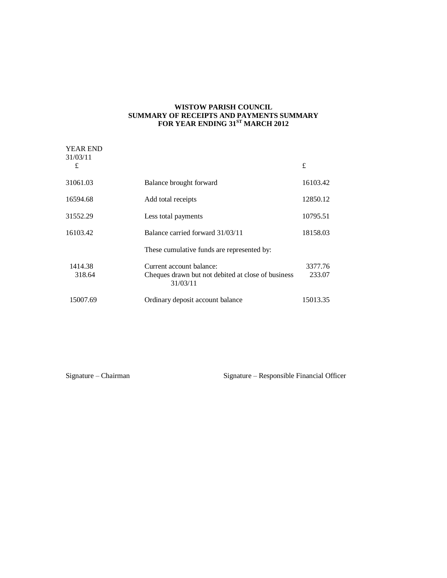#### **WISTOW PARISH COUNCIL SUMMARY OF RECEIPTS AND PAYMENTS SUMMARY FOR YEAR ENDING 31ST MARCH 2012**

| <b>YEAR END</b><br>31/03/11 |                                                                                |                   |
|-----------------------------|--------------------------------------------------------------------------------|-------------------|
| £                           |                                                                                | £                 |
| 31061.03                    | Balance brought forward                                                        | 16103.42          |
| 16594.68                    | Add total receipts                                                             | 12850.12          |
| 31552.29                    | Less total payments                                                            | 10795.51          |
| 16103.42                    | Balance carried forward 31/03/11                                               | 18158.03          |
|                             | These cumulative funds are represented by:                                     |                   |
| 1414.38<br>318.64           | Current account balance:<br>Cheques drawn but not debited at close of business | 3377.76<br>233.07 |
|                             | 31/03/11                                                                       |                   |
| 15007.69                    | Ordinary deposit account balance                                               | 15013.35          |

Signature – Chairman Signature – Responsible Financial Officer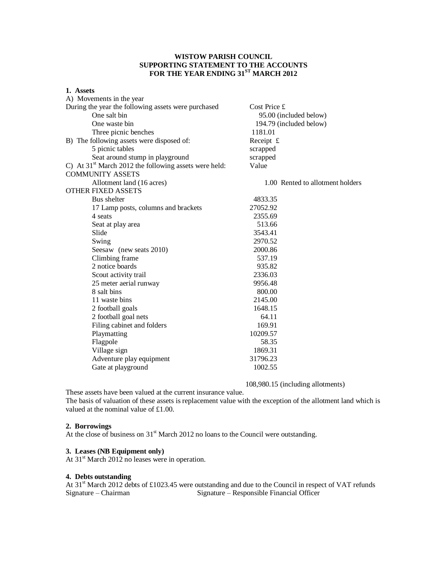# **WISTOW PARISH COUNCIL SUPPORTING STATEMENT TO THE ACCOUNTS FOR THE YEAR ENDING 31ST MARCH 2012**

#### **1. Assets** A) Movements in the year

| A) MOVEMENTS In the year                                |                                  |  |  |
|---------------------------------------------------------|----------------------------------|--|--|
| During the year the following assets were purchased     | Cost Price £                     |  |  |
| One salt bin                                            | 95.00 (included below)           |  |  |
| One waste bin                                           | 194.79 (included below)          |  |  |
| Three picnic benches                                    | 1181.01                          |  |  |
| B) The following assets were disposed of:               | Receipt $f$                      |  |  |
| 5 picnic tables                                         | scrapped                         |  |  |
| Seat around stump in playground                         | scrapped                         |  |  |
| C) At $31st$ March 2012 the following assets were held: | Value                            |  |  |
| <b>COMMUNITY ASSETS</b>                                 |                                  |  |  |
| Allotment land (16 acres)                               | 1.00 Rented to allotment holders |  |  |
| <b>OTHER FIXED ASSETS</b>                               |                                  |  |  |
| Bus shelter                                             | 4833.35                          |  |  |
| 17 Lamp posts, columns and brackets                     | 27052.92                         |  |  |
| 4 seats                                                 | 2355.69                          |  |  |
| Seat at play area                                       | 513.66                           |  |  |
| Slide                                                   | 3543.41                          |  |  |
| Swing                                                   | 2970.52                          |  |  |
| Seesaw (new seats 2010)                                 | 2000.86                          |  |  |
| Climbing frame                                          | 537.19                           |  |  |
| 2 notice boards                                         | 935.82                           |  |  |
| Scout activity trail                                    | 2336.03                          |  |  |
| 25 meter aerial runway                                  | 9956.48                          |  |  |
| 8 salt bins                                             | 800.00                           |  |  |
| 11 waste bins                                           | 2145.00                          |  |  |
| 2 football goals                                        | 1648.15                          |  |  |
| 2 football goal nets                                    | 64.11                            |  |  |
| Filing cabinet and folders                              | 169.91                           |  |  |
| Playmatting                                             | 10209.57                         |  |  |
| Flagpole                                                | 58.35                            |  |  |
| Village sign                                            | 1869.31                          |  |  |
| Adventure play equipment                                | 31796.23                         |  |  |
| Gate at playground                                      | 1002.55                          |  |  |
|                                                         |                                  |  |  |

108,980.15 (including allotments)

These assets have been valued at the current insurance value.

The basis of valuation of these assets is replacement value with the exception of the allotment land which is valued at the nominal value of £1.00.

# **2. Borrowings**

At the close of business on 31<sup>st</sup> March 2012 no loans to the Council were outstanding.

# **3. Leases (NB Equipment only)**

At 31<sup>st</sup> March 2012 no leases were in operation.

#### **4. Debts outstanding**

At 31<sup>st</sup> March 2012 debts of £1023.45 were outstanding and due to the Council in respect of VAT refunds Signature – Chairman Signature – Responsible Financial Officer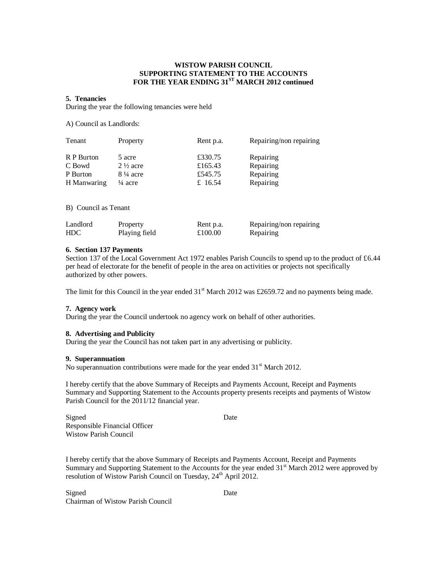#### **WISTOW PARISH COUNCIL SUPPORTING STATEMENT TO THE ACCOUNTS FOR THE YEAR ENDING 31ST MARCH 2012 continued**

#### **5. Tenancies**

During the year the following tenancies were held

A) Council as Landlords:

| Tenant      | Property            | Rent p.a. | Repairing/non repairing |
|-------------|---------------------|-----------|-------------------------|
| R P Burton  | 5 acre              | £330.75   | Repairing               |
| C Bowd      | $2\frac{1}{2}$ acre | £165.43   | Repairing               |
| P Burton    | $8\frac{1}{4}$ acre | £545.75   | Repairing               |
| H Manwaring | $\frac{1}{4}$ acre  | £ 16.54   | Repairing               |

B) Council as Tenant

| Landlord   | Property      | Rent p.a. | Repairing/non repairing |
|------------|---------------|-----------|-------------------------|
| <b>HDC</b> | Playing field | £100.00   | Repairing               |

### **6. Section 137 Payments**

Section 137 of the Local Government Act 1972 enables Parish Councils to spend up to the product of £6.44 per head of electorate for the benefit of people in the area on activities or projects not specifically authorized by other powers.

The limit for this Council in the year ended  $31<sup>st</sup>$  March 2012 was £2659.72 and no payments being made.

#### **7. Agency work**

During the year the Council undertook no agency work on behalf of other authorities.

# **8. Advertising and Publicity**

During the year the Council has not taken part in any advertising or publicity.

#### **9. Superannuation**

No superannuation contributions were made for the year ended  $31<sup>st</sup>$  March 2012.

I hereby certify that the above Summary of Receipts and Payments Account, Receipt and Payments Summary and Supporting Statement to the Accounts property presents receipts and payments of Wistow Parish Council for the 2011/12 financial year.

Signed Date Responsible Financial Officer Wistow Parish Council

I hereby certify that the above Summary of Receipts and Payments Account, Receipt and Payments Summary and Supporting Statement to the Accounts for the year ended  $31<sup>st</sup>$  March 2012 were approved by resolution of Wistow Parish Council on Tuesday,  $24<sup>th</sup>$  April 2012.

Signed Date Chairman of Wistow Parish Council